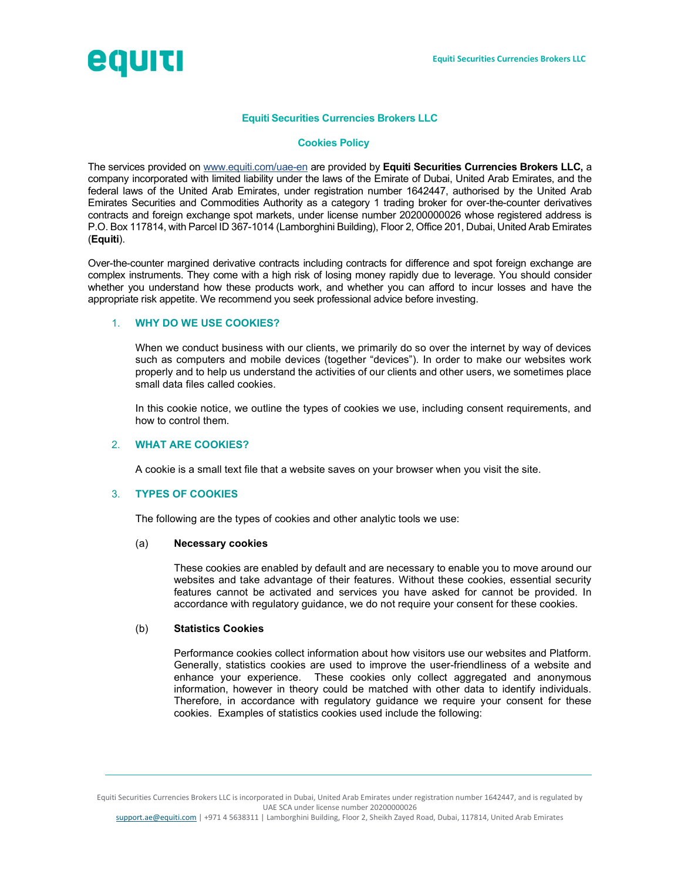

## Equiti Securities Currencies Brokers LLC

### Cookies Policy

The services provided on www.equiti.com/uae-en are provided by Equiti Securities Currencies Brokers LLC, a company incorporated with limited liability under the laws of the Emirate of Dubai, United Arab Emirates, and the federal laws of the United Arab Emirates, under registration number 1642447, authorised by the United Arab Emirates Securities and Commodities Authority as a category 1 trading broker for over-the-counter derivatives contracts and foreign exchange spot markets, under license number 20200000026 whose registered address is P.O. Box 117814, with Parcel ID 367-1014 (Lamborghini Building), Floor 2, Office 201, Dubai, United Arab Emirates (Equiti).

Over-the-counter margined derivative contracts including contracts for difference and spot foreign exchange are complex instruments. They come with a high risk of losing money rapidly due to leverage. You should consider whether you understand how these products work, and whether you can afford to incur losses and have the appropriate risk appetite. We recommend you seek professional advice before investing.

## 1. WHY DO WE USE COOKIES?

When we conduct business with our clients, we primarily do so over the internet by way of devices such as computers and mobile devices (together "devices"). In order to make our websites work properly and to help us understand the activities of our clients and other users, we sometimes place small data files called cookies.

In this cookie notice, we outline the types of cookies we use, including consent requirements, and how to control them.

## 2. WHAT ARE COOKIES?

A cookie is a small text file that a website saves on your browser when you visit the site.

## 3. TYPES OF COOKIES

The following are the types of cookies and other analytic tools we use:

#### (a) Necessary cookies

These cookies are enabled by default and are necessary to enable you to move around our websites and take advantage of their features. Without these cookies, essential security features cannot be activated and services you have asked for cannot be provided. In accordance with regulatory guidance, we do not require your consent for these cookies.

#### (b) Statistics Cookies

Performance cookies collect information about how visitors use our websites and Platform. Generally, statistics cookies are used to improve the user-friendliness of a website and enhance your experience. These cookies only collect aggregated and anonymous information, however in theory could be matched with other data to identify individuals. Therefore, in accordance with regulatory guidance we require your consent for these cookies. Examples of statistics cookies used include the following:

Equiti Securities Currencies Brokers LLC is incorporated in Dubai, United Arab Emirates under registration number 1642447, and is regulated by UAE SCA under license number 20200000026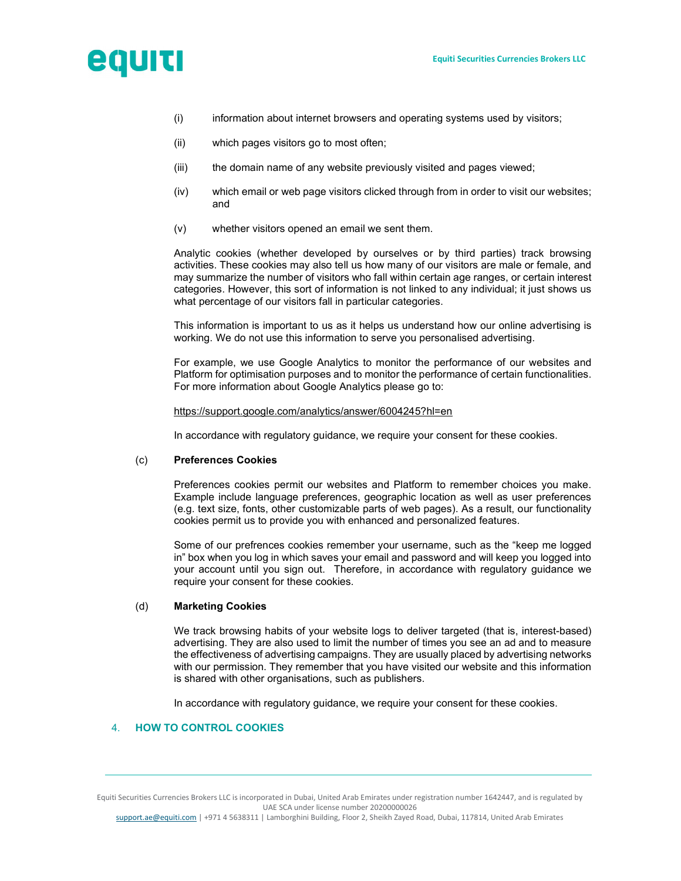

- (i) information about internet browsers and operating systems used by visitors;
- (ii) which pages visitors go to most often;
- (iii) the domain name of any website previously visited and pages viewed;
- (iv) which email or web page visitors clicked through from in order to visit our websites; and
- (v) whether visitors opened an email we sent them.

Analytic cookies (whether developed by ourselves or by third parties) track browsing activities. These cookies may also tell us how many of our visitors are male or female, and may summarize the number of visitors who fall within certain age ranges, or certain interest categories. However, this sort of information is not linked to any individual; it just shows us what percentage of our visitors fall in particular categories.

This information is important to us as it helps us understand how our online advertising is working. We do not use this information to serve you personalised advertising.

For example, we use Google Analytics to monitor the performance of our websites and Platform for optimisation purposes and to monitor the performance of certain functionalities. For more information about Google Analytics please go to:

#### https://support.google.com/analytics/answer/6004245?hl=en

In accordance with regulatory guidance, we require your consent for these cookies.

### (c) Preferences Cookies

Preferences cookies permit our websites and Platform to remember choices you make. Example include language preferences, geographic location as well as user preferences (e.g. text size, fonts, other customizable parts of web pages). As a result, our functionality cookies permit us to provide you with enhanced and personalized features.

Some of our prefrences cookies remember your username, such as the "keep me logged in" box when you log in which saves your email and password and will keep you logged into your account until you sign out. Therefore, in accordance with regulatory guidance we require your consent for these cookies.

## (d) Marketing Cookies

We track browsing habits of your website logs to deliver targeted (that is, interest-based) advertising. They are also used to limit the number of times you see an ad and to measure the effectiveness of advertising campaigns. They are usually placed by advertising networks with our permission. They remember that you have visited our website and this information is shared with other organisations, such as publishers.

In accordance with regulatory guidance, we require your consent for these cookies.

# 4. HOW TO CONTROL COOKIES

Equiti Securities Currencies Brokers LLC is incorporated in Dubai, United Arab Emirates under registration number 1642447, and is regulated by UAE SCA under license number 20200000026